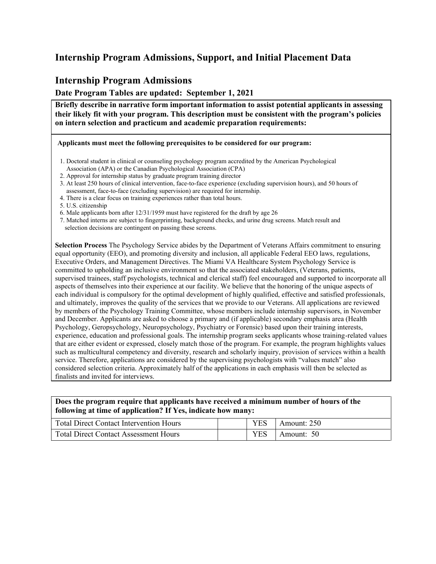### **Internship Program Admissions, Support, and Initial Placement Data**

#### **Internship Program Admissions**

**Date Program Tables are updated: September 1, 2021**

**Briefly describe in narrative form important information to assist potential applicants in assessing their likely fit with your program. This description must be consistent with the program's policies on intern selection and practicum and academic preparation requirements:**

**Applicants must meet the following prerequisites to be considered for our program:**

- 1. 1. Doctoral student in clinical or counseling psychology program accredited by the American Psychological Association (APA) or the Canadian Psychological Association (CPA)
- 3. 2. Approval for internship status by graduate program training director
- 4. 3. At least 250 hours of clinical intervention, face-to-face experience (excluding supervision hours), and 50 hours of assessment, face-to-face (excluding supervision) are required for internship.
- 4. There is a clear focus on training experiences rather than total hours.
- 7. 5. U.S. citizenship
- 8. 6. Male applicants born after 12/31/1959 must have registered for the draft by age 26
- 9. 7. Matched interns are subject to fingerprinting, background checks, and urine drug screens. Match result and selection decisions are contingent on passing these screens.

**Selection Process** The Psychology Service abides by the Department of Veterans Affairs commitment to ensuring equal opportunity (EEO), and promoting diversity and inclusion, all applicable Federal EEO laws, regulations, Executive Orders, and Management Directives. The Miami VA Healthcare System Psychology Service is committed to upholding an inclusive environment so that the associated stakeholders, (Veterans, patients, supervised trainees, staff psychologists, technical and clerical staff) feel encouraged and supported to incorporate all aspects of themselves into their experience at our facility. We believe that the honoring of the unique aspects of each individual is compulsory for the optimal development of highly qualified, effective and satisfied professionals, and ultimately, improves the quality of the services that we provide to our Veterans. All applications are reviewed by members of the Psychology Training Committee, whose members include internship supervisors, in November and December. Applicants are asked to choose a primary and (if applicable) secondary emphasis area (Health Psychology, Geropsychology, Neuropsychology, Psychiatry or Forensic) based upon their training interests, experience, education and professional goals. The internship program seeks applicants whose training-related values that are either evident or expressed, closely match those of the program. For example, the program highlights values such as multicultural competency and diversity, research and scholarly inquiry, provision of services within a health service. Therefore, applications are considered by the supervising psychologists with "values match" also considered selection criteria. Approximately half of the applications in each emphasis will then be selected as finalists and invited for interviews.

#### **Does the program require that applicants have received a minimum number of hours of the following at time of application? If Yes, indicate how many:**

| <b>Total Direct Contact Intervention Hours</b> |  | Amount: 250    |
|------------------------------------------------|--|----------------|
| <b>Total Direct Contact Assessment Hours</b>   |  | -50<br>Amount: |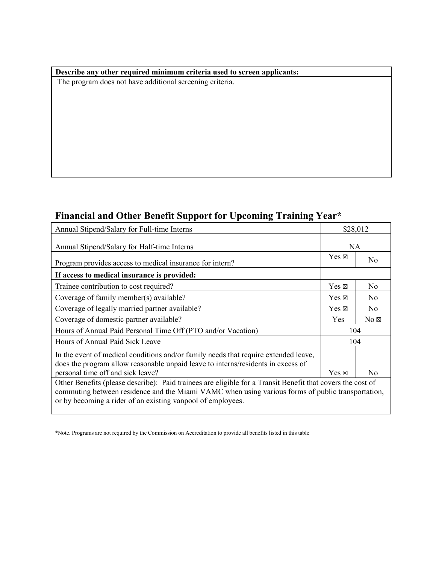#### **Describe any other required minimum criteria used to screen applicants:**

The program does not have additional screening criteria.

# **Financial and Other Benefit Support for Upcoming Training Year\***

| Annual Stipend/Salary for Full-time Interns                                                                                                                                                                                                                                    |                 | \$28,012       |  |  |
|--------------------------------------------------------------------------------------------------------------------------------------------------------------------------------------------------------------------------------------------------------------------------------|-----------------|----------------|--|--|
| Annual Stipend/Salary for Half-time Interns                                                                                                                                                                                                                                    |                 | <b>NA</b>      |  |  |
| Program provides access to medical insurance for intern?                                                                                                                                                                                                                       | $Yes \boxtimes$ | N <sub>0</sub> |  |  |
| If access to medical insurance is provided:                                                                                                                                                                                                                                    |                 |                |  |  |
| Trainee contribution to cost required?                                                                                                                                                                                                                                         | $Yes \boxtimes$ | N <sub>o</sub> |  |  |
| Coverage of family member(s) available?                                                                                                                                                                                                                                        | $Yes \boxtimes$ | No.            |  |  |
| Coverage of legally married partner available?                                                                                                                                                                                                                                 | $Yes \boxtimes$ | N <sub>o</sub> |  |  |
| Coverage of domestic partner available?                                                                                                                                                                                                                                        | Yes             | $No \boxtimes$ |  |  |
| Hours of Annual Paid Personal Time Off (PTO and/or Vacation)                                                                                                                                                                                                                   | 104             |                |  |  |
| Hours of Annual Paid Sick Leave                                                                                                                                                                                                                                                | 104             |                |  |  |
| In the event of medical conditions and/or family needs that require extended leave,<br>does the program allow reasonable unpaid leave to interns/residents in excess of                                                                                                        |                 |                |  |  |
| personal time off and sick leave?                                                                                                                                                                                                                                              | $Yes \boxtimes$ | N <sub>0</sub> |  |  |
| Other Benefits (please describe): Paid trainees are eligible for a Transit Benefit that covers the cost of<br>commuting between residence and the Miami VAMC when using various forms of public transportation,<br>or by becoming a rider of an existing vanpool of employees. |                 |                |  |  |

<sup>\*</sup>Note. Programs are not required by the Commission on Accreditation to provide all benefits listed in this table